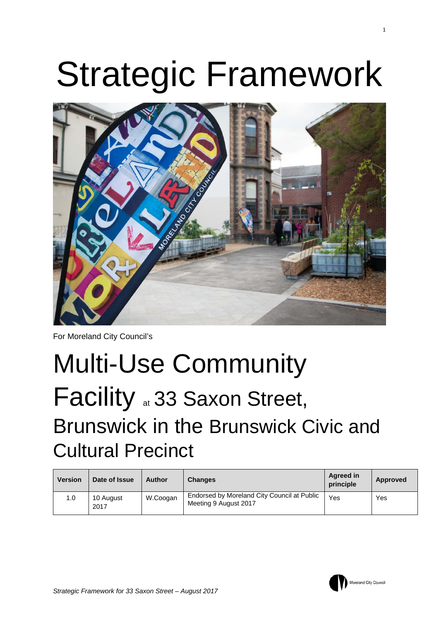# Strategic Framework



For Moreland City Council's

## Multi-Use Community Facility <sub>at</sub> 33 Saxon Street, Brunswick in the Brunswick Civic and Cultural Precinct

| <b>Version</b> | Date of Issue     | Author   | <b>Changes</b>                                                       | <b>Agreed in</b><br>principle | Approved |
|----------------|-------------------|----------|----------------------------------------------------------------------|-------------------------------|----------|
| 1.0            | 10 August<br>2017 | W.Coogan | Endorsed by Moreland City Council at Public<br>Meeting 9 August 2017 | Yes                           | Yes      |

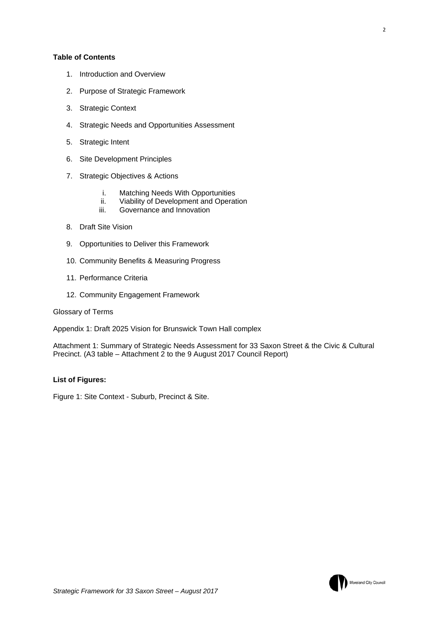#### **Table of Contents**

- 1. Introduction and Overview
- 2. Purpose of Strategic Framework
- 3. Strategic Context
- 4. Strategic Needs and Opportunities Assessment
- 5. Strategic Intent
- 6. Site Development Principles
- 7. Strategic Objectives & Actions
	- i. Matching Needs With Opportunities
	- ii. Viability of Development and Operation
	- iii. Governance and Innovation
- 8. Draft Site Vision
- 9. Opportunities to Deliver this Framework
- 10. Community Benefits & Measuring Progress
- 11. Performance Criteria
- 12. Community Engagement Framework

Glossary of Terms

Appendix 1: Draft 2025 Vision for Brunswick Town Hall complex

Attachment 1: Summary of Strategic Needs Assessment for 33 Saxon Street & the Civic & Cultural Precinct. (A3 table – Attachment 2 to the 9 August 2017 Council Report)

#### **List of Figures:**

Figure 1: Site Context - Suburb, Precinct & Site.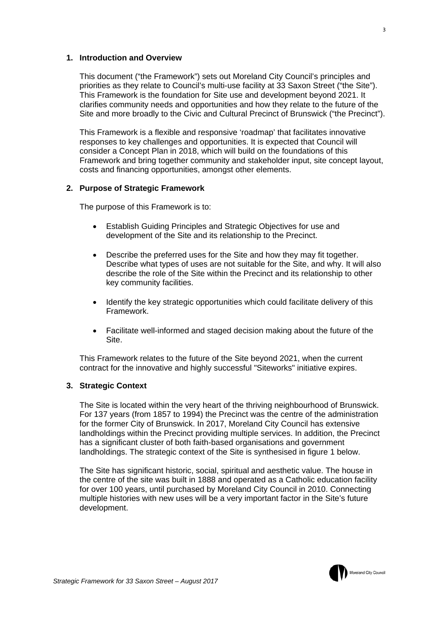#### **1. Introduction and Overview**

This document ("the Framework") sets out Moreland City Council's principles and priorities as they relate to Council's multi-use facility at 33 Saxon Street ("the Site"). This Framework is the foundation for Site use and development beyond 2021. It clarifies community needs and opportunities and how they relate to the future of the Site and more broadly to the Civic and Cultural Precinct of Brunswick ("the Precinct").

This Framework is a flexible and responsive 'roadmap' that facilitates innovative responses to key challenges and opportunities. It is expected that Council will consider a Concept Plan in 2018, which will build on the foundations of this Framework and bring together community and stakeholder input, site concept layout, costs and financing opportunities, amongst other elements.

#### **2. Purpose of Strategic Framework**

The purpose of this Framework is to:

- Establish Guiding Principles and Strategic Objectives for use and development of the Site and its relationship to the Precinct.
- Describe the preferred uses for the Site and how they may fit together. Describe what types of uses are not suitable for the Site, and why. It will also describe the role of the Site within the Precinct and its relationship to other key community facilities.
- Identify the key strategic opportunities which could facilitate delivery of this Framework.
- Facilitate well-informed and staged decision making about the future of the Site.

This Framework relates to the future of the Site beyond 2021, when the current contract for the innovative and highly successful "Siteworks" initiative expires.

#### **3. Strategic Context**

The Site is located within the very heart of the thriving neighbourhood of Brunswick. For 137 years (from 1857 to 1994) the Precinct was the centre of the administration for the former City of Brunswick. In 2017, Moreland City Council has extensive landholdings within the Precinct providing multiple services. In addition, the Precinct has a significant cluster of both faith-based organisations and government landholdings. The strategic context of the Site is synthesised in figure 1 below.

The Site has significant historic, social, spiritual and aesthetic value. The house in the centre of the site was built in 1888 and operated as a Catholic education facility for over 100 years, until purchased by Moreland City Council in 2010. Connecting multiple histories with new uses will be a very important factor in the Site's future development.

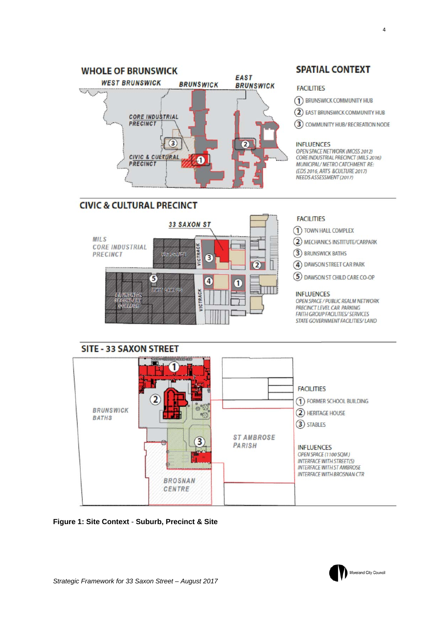

### **CIVIC & CULTURAL PRECINCT**



**FACILITIES** 

1) TOWN HALL COMPLEX

2 MECHANICS INSTITUTE/CARPARK

3) BRUNSWICK BATHS

4) DAWSON STREET CAR PARK

5 DAWSON ST CHILD CARE CO-OP

#### **INFLUENCES**

OPEN SPACE / PUBLIC REALM NETWORK PRECINCT LEVEL CAR PARKING FAITH GROUP FACILITIES/ SERVICES STATE GOVERNMENT FACILITIES/ LAND



**Figure 1: Site Context** - **Suburb, Precinct & Site**

#### **SPATIAL CONTEXT**

#### **FACILITIES**

- 1 BRUNSWICK COMMUNITY HUB
- (2) EAST BRUNSWICK COMMUNITY HUB

3 COMMUNITY HUB/ RECREATION NODE

#### **INFLUENCES**

OPEN SPACE NETWORK (MOSS 2012) CORE INDUSTRIAL PRECINCT (MILS 2016) MUNICIPAL/ METRO CATCHMENT RE: (EDS 2016, ARTS &CULTURE 2017) NEEDS ASSESSMENT (2017)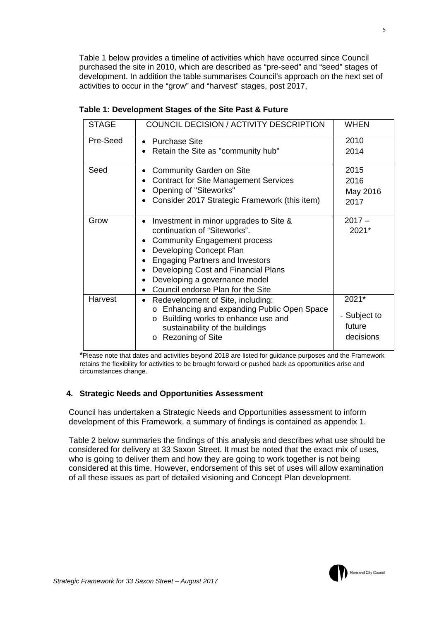Table 1 below provides a timeline of activities which have occurred since Council purchased the site in 2010, which are described as "pre-seed" and "seed" stages of development. In addition the table summarises Council's approach on the next set of activities to occur in the "grow" and "harvest" stages, post 2017,

| <b>STAGE</b> | <b>COUNCIL DECISION / ACTIVITY DESCRIPTION</b>                                                                                 | <b>WHEN</b>            |
|--------------|--------------------------------------------------------------------------------------------------------------------------------|------------------------|
| Pre-Seed     | <b>Purchase Site</b>                                                                                                           | 2010<br>2014           |
|              | Retain the Site as "community hub"                                                                                             |                        |
| Seed         | <b>Community Garden on Site</b>                                                                                                | 2015                   |
|              | <b>Contract for Site Management Services</b>                                                                                   | 2016                   |
|              | Opening of "Siteworks"                                                                                                         | May 2016               |
|              | Consider 2017 Strategic Framework (this item)                                                                                  | 2017                   |
| Grow         | Investment in minor upgrades to Site &                                                                                         | $2017 -$               |
|              | continuation of "Siteworks".                                                                                                   | 2021*                  |
|              | <b>Community Engagement process</b>                                                                                            |                        |
|              | Developing Concept Plan                                                                                                        |                        |
|              | <b>Engaging Partners and Investors</b>                                                                                         |                        |
|              | Developing Cost and Financial Plans                                                                                            |                        |
|              | Developing a governance model<br>Council endorse Plan for the Site                                                             |                        |
| Harvest      | Redevelopment of Site, including:                                                                                              | 2021*                  |
|              | o Enhancing and expanding Public Open Space<br>Building works to enhance use and<br>$\circ$<br>sustainability of the buildings | - Subject to<br>future |
|              | <b>Rezoning of Site</b><br>$\circ$                                                                                             | decisions              |

#### **Table 1: Development Stages of the Site Past & Future**

\*Please note that dates and activities beyond 2018 are listed for guidance purposes and the Framework retains the flexibility for activities to be brought forward or pushed back as opportunities arise and circumstances change.

#### **4. Strategic Needs and Opportunities Assessment**

Council has undertaken a Strategic Needs and Opportunities assessment to inform development of this Framework, a summary of findings is contained as appendix 1.

Table 2 below summaries the findings of this analysis and describes what use should be considered for delivery at 33 Saxon Street. It must be noted that the exact mix of uses, who is going to deliver them and how they are going to work together is not being considered at this time. However, endorsement of this set of uses will allow examination of all these issues as part of detailed visioning and Concept Plan development.

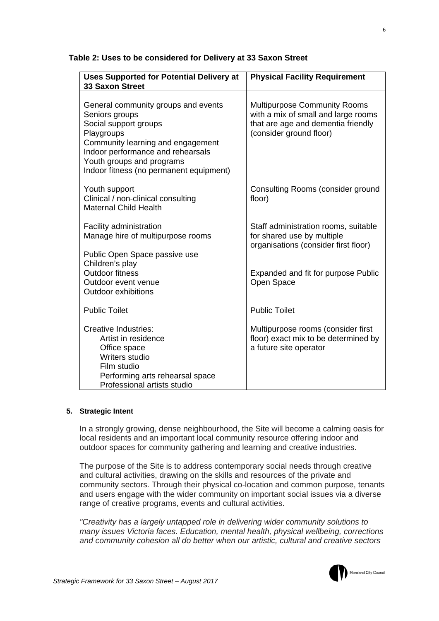| <b>Uses Supported for Potential Delivery at</b><br><b>33 Saxon Street</b>                                                                                                                                                                      | <b>Physical Facility Requirement</b>                                                                                                        |
|------------------------------------------------------------------------------------------------------------------------------------------------------------------------------------------------------------------------------------------------|---------------------------------------------------------------------------------------------------------------------------------------------|
| General community groups and events<br>Seniors groups<br>Social support groups<br>Playgroups<br>Community learning and engagement<br>Indoor performance and rehearsals<br>Youth groups and programs<br>Indoor fitness (no permanent equipment) | <b>Multipurpose Community Rooms</b><br>with a mix of small and large rooms<br>that are age and dementia friendly<br>(consider ground floor) |
| Youth support<br>Clinical / non-clinical consulting<br><b>Maternal Child Health</b>                                                                                                                                                            | Consulting Rooms (consider ground<br>floor)                                                                                                 |
| Facility administration<br>Manage hire of multipurpose rooms<br>Public Open Space passive use                                                                                                                                                  | Staff administration rooms, suitable<br>for shared use by multiple<br>organisations (consider first floor)                                  |
| Children's play<br><b>Outdoor fitness</b><br>Outdoor event venue<br>Outdoor exhibitions                                                                                                                                                        | Expanded and fit for purpose Public<br>Open Space                                                                                           |
| <b>Public Toilet</b>                                                                                                                                                                                                                           | <b>Public Toilet</b>                                                                                                                        |
| <b>Creative Industries:</b><br>Artist in residence<br>Office space<br>Writers studio<br>Film studio<br>Performing arts rehearsal space<br>Professional artists studio                                                                          | Multipurpose rooms (consider first<br>floor) exact mix to be determined by<br>a future site operator                                        |

#### **Table 2: Uses to be considered for Delivery at 33 Saxon Street**

#### **5. Strategic Intent**

In a strongly growing, dense neighbourhood, the Site will become a calming oasis for local residents and an important local community resource offering indoor and outdoor spaces for community gathering and learning and creative industries.

The purpose of the Site is to address contemporary social needs through creative and cultural activities, drawing on the skills and resources of the private and community sectors. Through their physical co-location and common purpose, tenants and users engage with the wider community on important social issues via a diverse range of creative programs, events and cultural activities.

*"Creativity has a largely untapped role in delivering wider community solutions to many issues Victoria faces. Education, mental health, physical wellbeing, corrections and community cohesion all do better when our artistic, cultural and creative sectors* 

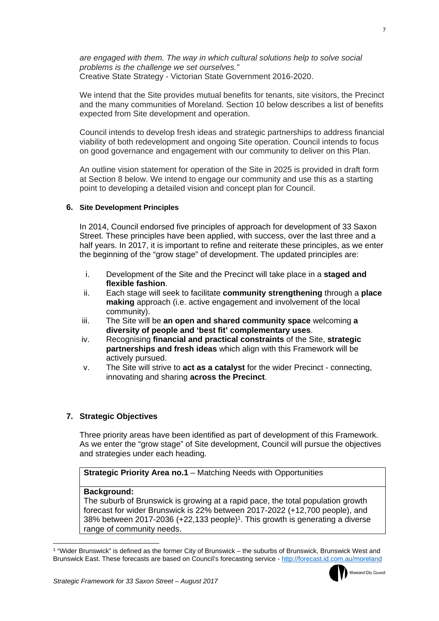*are engaged with them. The way in which cultural solutions help to solve social problems is the challenge we set ourselves."*  Creative State Strategy - Victorian State Government 2016-2020.

We intend that the Site provides mutual benefits for tenants, site visitors, the Precinct and the many communities of Moreland. Section 10 below describes a list of benefits expected from Site development and operation.

Council intends to develop fresh ideas and strategic partnerships to address financial viability of both redevelopment and ongoing Site operation. Council intends to focus on good governance and engagement with our community to deliver on this Plan.

An outline vision statement for operation of the Site in 2025 is provided in draft form at Section 8 below. We intend to engage our community and use this as a starting point to developing a detailed vision and concept plan for Council.

#### **6. Site Development Principles**

In 2014, Council endorsed five principles of approach for development of 33 Saxon Street. These principles have been applied, with success, over the last three and a half years. In 2017, it is important to refine and reiterate these principles, as we enter the beginning of the "grow stage" of development. The updated principles are:

- i. Development of the Site and the Precinct will take place in a **staged and flexible fashion**.
- ii. Each stage will seek to facilitate **community strengthening** through a **place making** approach (i.e. active engagement and involvement of the local community).
- iii. The Site will be **an open and shared community space** welcoming **a diversity of people and 'best fit' complementary uses**.
- iv. Recognising **financial and practical constraints** of the Site, **strategic partnerships and fresh ideas** which align with this Framework will be actively pursued.
- v. The Site will strive to **act as a catalyst** for the wider Precinct connecting, innovating and sharing **across the Precinct**.

#### **7. Strategic Objectives**

Three priority areas have been identified as part of development of this Framework. As we enter the "grow stage" of Site development, Council will pursue the objectives and strategies under each heading.

**Strategic Priority Area no.1** – Matching Needs with Opportunities

#### **Background:**

The suburb of Brunswick is growing at a rapid pace, the total population growth forecast for wider Brunswick is 22% between 2017-2022 (+12,700 people), and 38% between 2017-2036 (+22,133 people)1. This growth is generating a diverse range of community needs.

<sup>1 &</sup>quot;Wider Brunswick" is defined as the former City of Brunswick – the suburbs of Brunswick, Brunswick West and Brunswick East. These forecasts are based on Council's forecasting service - http://forecast.id.com.au/moreland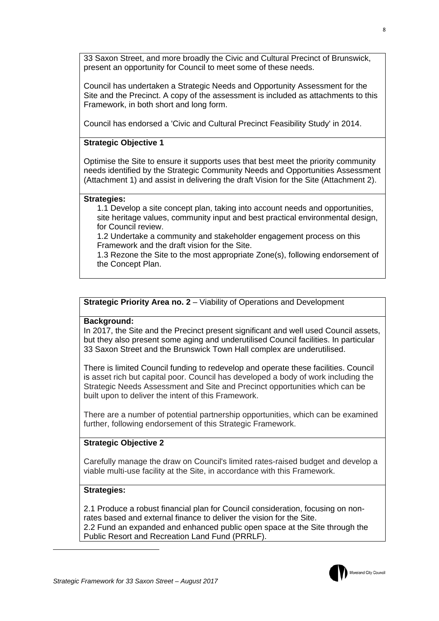33 Saxon Street, and more broadly the Civic and Cultural Precinct of Brunswick, present an opportunity for Council to meet some of these needs.

Council has undertaken a Strategic Needs and Opportunity Assessment for the Site and the Precinct. A copy of the assessment is included as attachments to this Framework, in both short and long form.

Council has endorsed a 'Civic and Cultural Precinct Feasibility Study' in 2014.

#### **Strategic Objective 1**

Optimise the Site to ensure it supports uses that best meet the priority community needs identified by the Strategic Community Needs and Opportunities Assessment (Attachment 1) and assist in delivering the draft Vision for the Site (Attachment 2).

#### **Strategies:**

1.1 Develop a site concept plan, taking into account needs and opportunities, site heritage values, community input and best practical environmental design, for Council review.

1.2 Undertake a community and stakeholder engagement process on this Framework and the draft vision for the Site.

1.3 Rezone the Site to the most appropriate Zone(s), following endorsement of the Concept Plan.

**Strategic Priority Area no. 2** – Viability of Operations and Development

#### **Background:**

In 2017, the Site and the Precinct present significant and well used Council assets, but they also present some aging and underutilised Council facilities. In particular 33 Saxon Street and the Brunswick Town Hall complex are underutilised.

There is limited Council funding to redevelop and operate these facilities. Council is asset rich but capital poor. Council has developed a body of work including the Strategic Needs Assessment and Site and Precinct opportunities which can be built upon to deliver the intent of this Framework.

There are a number of potential partnership opportunities, which can be examined further, following endorsement of this Strategic Framework.

#### **Strategic Objective 2**

Carefully manage the draw on Council's limited rates-raised budget and develop a viable multi-use facility at the Site, in accordance with this Framework.

#### **Strategies:**

2.1 Produce a robust financial plan for Council consideration, focusing on nonrates based and external finance to deliver the vision for the Site. 2.2 Fund an expanded and enhanced public open space at the Site through the Public Resort and Recreation Land Fund (PRRLF).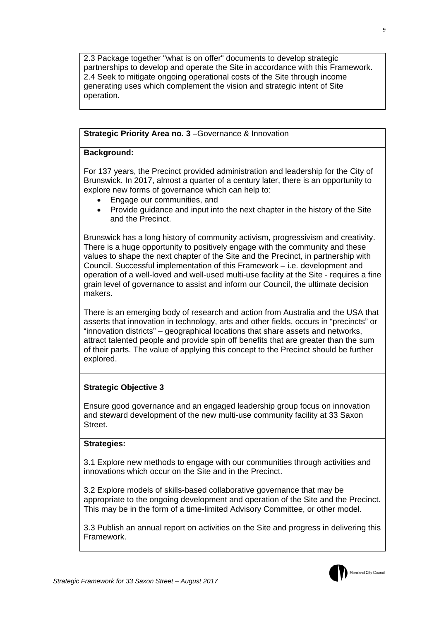2.3 Package together "what is on offer" documents to develop strategic partnerships to develop and operate the Site in accordance with this Framework. 2.4 Seek to mitigate ongoing operational costs of the Site through income generating uses which complement the vision and strategic intent of Site operation.

#### **Strategic Priority Area no. 3 – Governance & Innovation**

#### **Background:**

For 137 years, the Precinct provided administration and leadership for the City of Brunswick. In 2017, almost a quarter of a century later, there is an opportunity to explore new forms of governance which can help to:

- Engage our communities, and
- Provide guidance and input into the next chapter in the history of the Site and the Precinct.

Brunswick has a long history of community activism, progressivism and creativity. There is a huge opportunity to positively engage with the community and these values to shape the next chapter of the Site and the Precinct, in partnership with Council. Successful implementation of this Framework – i.e. development and operation of a well-loved and well-used multi-use facility at the Site - requires a fine grain level of governance to assist and inform our Council, the ultimate decision makers.

There is an emerging body of research and action from Australia and the USA that asserts that innovation in technology, arts and other fields, occurs in "precincts" or "innovation districts" – geographical locations that share assets and networks, attract talented people and provide spin off benefits that are greater than the sum of their parts. The value of applying this concept to the Precinct should be further explored.

#### **Strategic Objective 3**

Ensure good governance and an engaged leadership group focus on innovation and steward development of the new multi-use community facility at 33 Saxon Street.

#### **Strategies:**

3.1 Explore new methods to engage with our communities through activities and innovations which occur on the Site and in the Precinct.

3.2 Explore models of skills-based collaborative governance that may be appropriate to the ongoing development and operation of the Site and the Precinct. This may be in the form of a time-limited Advisory Committee, or other model.

3.3 Publish an annual report on activities on the Site and progress in delivering this Framework.

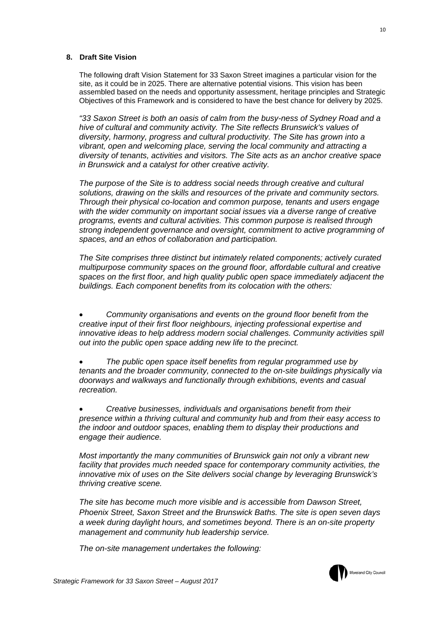#### **8. Draft Site Vision**

The following draft Vision Statement for 33 Saxon Street imagines a particular vision for the site, as it could be in 2025. There are alternative potential visions. This vision has been assembled based on the needs and opportunity assessment, heritage principles and Strategic Objectives of this Framework and is considered to have the best chance for delivery by 2025.

*"33 Saxon Street is both an oasis of calm from the busy-ness of Sydney Road and a hive of cultural and community activity. The Site reflects Brunswick's values of diversity, harmony, progress and cultural productivity. The Site has grown into a vibrant, open and welcoming place, serving the local community and attracting a diversity of tenants, activities and visitors. The Site acts as an anchor creative space in Brunswick and a catalyst for other creative activity.* 

*The purpose of the Site is to address social needs through creative and cultural solutions, drawing on the skills and resources of the private and community sectors. Through their physical co-location and common purpose, tenants and users engage with the wider community on important social issues via a diverse range of creative programs, events and cultural activities. This common purpose is realised through strong independent governance and oversight, commitment to active programming of spaces, and an ethos of collaboration and participation.* 

*The Site comprises three distinct but intimately related components; actively curated multipurpose community spaces on the ground floor, affordable cultural and creative spaces on the first floor, and high quality public open space immediately adjacent the buildings. Each component benefits from its colocation with the others:* 

 *Community organisations and events on the ground floor benefit from the creative input of their first floor neighbours, injecting professional expertise and innovative ideas to help address modern social challenges. Community activities spill out into the public open space adding new life to the precinct.* 

 *The public open space itself benefits from regular programmed use by tenants and the broader community, connected to the on-site buildings physically via doorways and walkways and functionally through exhibitions, events and casual recreation.* 

 *Creative businesses, individuals and organisations benefit from their presence within a thriving cultural and community hub and from their easy access to the indoor and outdoor spaces, enabling them to display their productions and engage their audience.* 

*Most importantly the many communities of Brunswick gain not only a vibrant new facility that provides much needed space for contemporary community activities, the innovative mix of uses on the Site delivers social change by leveraging Brunswick's thriving creative scene.* 

*The site has become much more visible and is accessible from Dawson Street, Phoenix Street, Saxon Street and the Brunswick Baths. The site is open seven days a week during daylight hours, and sometimes beyond. There is an on-site property management and community hub leadership service.* 

*The on-site management undertakes the following:* 

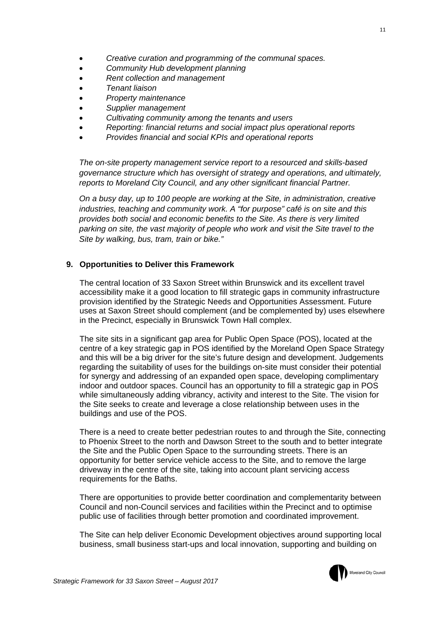- *Creative curation and programming of the communal spaces.*
- *Community Hub development planning*
- *Rent collection and management*
- *Tenant liaison*
- *Property maintenance*
- *Supplier management*
- *Cultivating community among the tenants and users*
- *Reporting: financial returns and social impact plus operational reports*
- *Provides financial and social KPIs and operational reports*

*The on-site property management service report to a resourced and skills-based governance structure which has oversight of strategy and operations, and ultimately, reports to Moreland City Council, and any other significant financial Partner.* 

*On a busy day, up to 100 people are working at the Site, in administration, creative industries, teaching and community work. A "for purpose" café is on site and this provides both social and economic benefits to the Site. As there is very limited parking on site, the vast majority of people who work and visit the Site travel to the Site by walking, bus, tram, train or bike."* 

#### **9. Opportunities to Deliver this Framework**

The central location of 33 Saxon Street within Brunswick and its excellent travel accessibility make it a good location to fill strategic gaps in community infrastructure provision identified by the Strategic Needs and Opportunities Assessment. Future uses at Saxon Street should complement (and be complemented by) uses elsewhere in the Precinct, especially in Brunswick Town Hall complex.

The site sits in a significant gap area for Public Open Space (POS), located at the centre of a key strategic gap in POS identified by the Moreland Open Space Strategy and this will be a big driver for the site's future design and development. Judgements regarding the suitability of uses for the buildings on-site must consider their potential for synergy and addressing of an expanded open space, developing complimentary indoor and outdoor spaces. Council has an opportunity to fill a strategic gap in POS while simultaneously adding vibrancy, activity and interest to the Site. The vision for the Site seeks to create and leverage a close relationship between uses in the buildings and use of the POS.

There is a need to create better pedestrian routes to and through the Site, connecting to Phoenix Street to the north and Dawson Street to the south and to better integrate the Site and the Public Open Space to the surrounding streets. There is an opportunity for better service vehicle access to the Site, and to remove the large driveway in the centre of the site, taking into account plant servicing access requirements for the Baths.

There are opportunities to provide better coordination and complementarity between Council and non-Council services and facilities within the Precinct and to optimise public use of facilities through better promotion and coordinated improvement.

The Site can help deliver Economic Development objectives around supporting local business, small business start-ups and local innovation, supporting and building on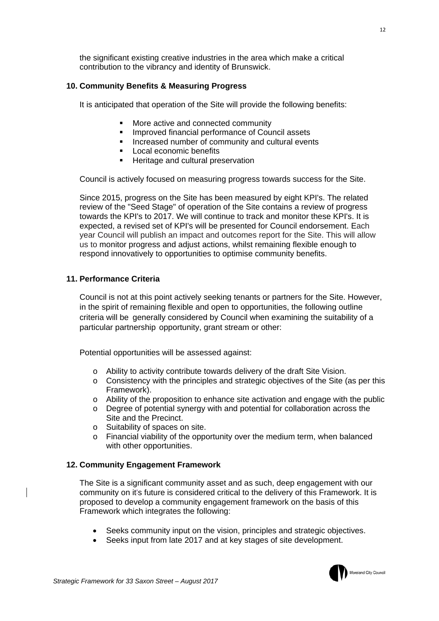the significant existing creative industries in the area which make a critical contribution to the vibrancy and identity of Brunswick.

#### **10. Community Benefits & Measuring Progress**

It is anticipated that operation of the Site will provide the following benefits:

- More active and connected community
- Improved financial performance of Council assets
- **Increased number of community and cultural events**
- **Local economic benefits**
- **Heritage and cultural preservation**

Council is actively focused on measuring progress towards success for the Site.

Since 2015, progress on the Site has been measured by eight KPI's. The related review of the "Seed Stage" of operation of the Site contains a review of progress towards the KPI's to 2017. We will continue to track and monitor these KPI's. It is expected, a revised set of KPI's will be presented for Council endorsement. Each year Council will publish an impact and outcomes report for the Site. This will allow us to monitor progress and adjust actions, whilst remaining flexible enough to respond innovatively to opportunities to optimise community benefits.

#### **11. Performance Criteria**

Council is not at this point actively seeking tenants or partners for the Site. However, in the spirit of remaining flexible and open to opportunities, the following outline criteria will be generally considered by Council when examining the suitability of a particular partnership opportunity, grant stream or other:

Potential opportunities will be assessed against:

- o Ability to activity contribute towards delivery of the draft Site Vision.
- $\circ$  Consistency with the principles and strategic objectives of the Site (as per this Framework).
- o Ability of the proposition to enhance site activation and engage with the public
- o Degree of potential synergy with and potential for collaboration across the Site and the Precinct.
- o Suitability of spaces on site.
- o Financial viability of the opportunity over the medium term, when balanced with other opportunities.

#### **12. Community Engagement Framework**

The Site is a significant community asset and as such, deep engagement with our community on it's future is considered critical to the delivery of this Framework. It is proposed to develop a community engagement framework on the basis of this Framework which integrates the following:

- Seeks community input on the vision, principles and strategic objectives.
- Seeks input from late 2017 and at key stages of site development.

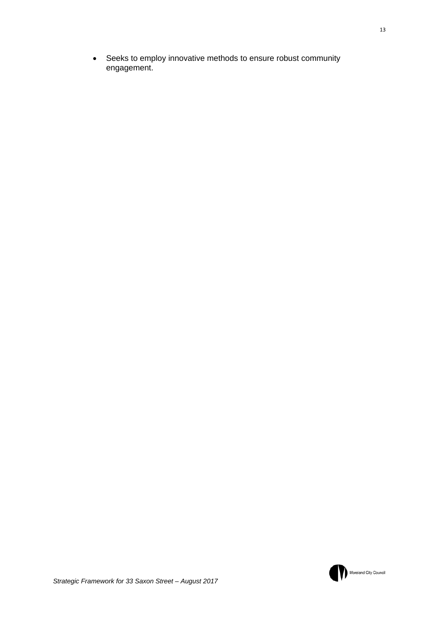Seeks to employ innovative methods to ensure robust community engagement.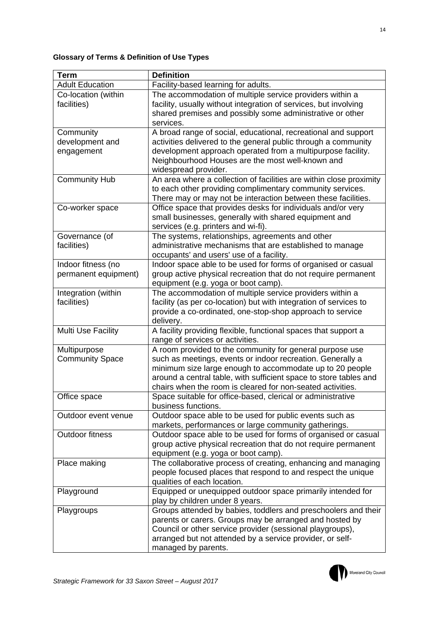#### **Glossary of Terms & Definition of Use Types**

| <b>Term</b>                                | <b>Definition</b>                                                                                                                                                                                                                                                                                                     |
|--------------------------------------------|-----------------------------------------------------------------------------------------------------------------------------------------------------------------------------------------------------------------------------------------------------------------------------------------------------------------------|
| <b>Adult Education</b>                     | Facility-based learning for adults.                                                                                                                                                                                                                                                                                   |
| Co-location (within<br>facilities)         | The accommodation of multiple service providers within a<br>facility, usually without integration of services, but involving<br>shared premises and possibly some administrative or other<br>services.                                                                                                                |
| Community<br>development and<br>engagement | A broad range of social, educational, recreational and support<br>activities delivered to the general public through a community<br>development approach operated from a multipurpose facility.<br>Neighbourhood Houses are the most well-known and<br>widespread provider.                                           |
| <b>Community Hub</b>                       | An area where a collection of facilities are within close proximity<br>to each other providing complimentary community services.<br>There may or may not be interaction between these facilities.                                                                                                                     |
| Co-worker space                            | Office space that provides desks for individuals and/or very<br>small businesses, generally with shared equipment and<br>services (e.g. printers and wi-fi).                                                                                                                                                          |
| Governance (of<br>facilities)              | The systems, relationships, agreements and other<br>administrative mechanisms that are established to manage<br>occupants' and users' use of a facility.                                                                                                                                                              |
| Indoor fitness (no<br>permanent equipment) | Indoor space able to be used for forms of organised or casual<br>group active physical recreation that do not require permanent<br>equipment (e.g. yoga or boot camp).                                                                                                                                                |
| Integration (within<br>facilities)         | The accommodation of multiple service providers within a<br>facility (as per co-location) but with integration of services to<br>provide a co-ordinated, one-stop-shop approach to service<br>delivery.                                                                                                               |
| Multi Use Facility                         | A facility providing flexible, functional spaces that support a<br>range of services or activities.                                                                                                                                                                                                                   |
| Multipurpose<br><b>Community Space</b>     | A room provided to the community for general purpose use<br>such as meetings, events or indoor recreation. Generally a<br>minimum size large enough to accommodate up to 20 people<br>around a central table, with sufficient space to store tables and<br>chairs when the room is cleared for non-seated activities. |
| Office space                               | Space suitable for office-based, clerical or administrative<br>business functions.                                                                                                                                                                                                                                    |
| Outdoor event venue                        | Outdoor space able to be used for public events such as<br>markets, performances or large community gatherings.                                                                                                                                                                                                       |
| <b>Outdoor fitness</b>                     | Outdoor space able to be used for forms of organised or casual<br>group active physical recreation that do not require permanent<br>equipment (e.g. yoga or boot camp).                                                                                                                                               |
| Place making                               | The collaborative process of creating, enhancing and managing<br>people focused places that respond to and respect the unique<br>qualities of each location.                                                                                                                                                          |
| Playground                                 | Equipped or unequipped outdoor space primarily intended for<br>play by children under 8 years.                                                                                                                                                                                                                        |
| Playgroups                                 | Groups attended by babies, toddlers and preschoolers and their<br>parents or carers. Groups may be arranged and hosted by<br>Council or other service provider (sessional playgroups),<br>arranged but not attended by a service provider, or self-<br>managed by parents.                                            |

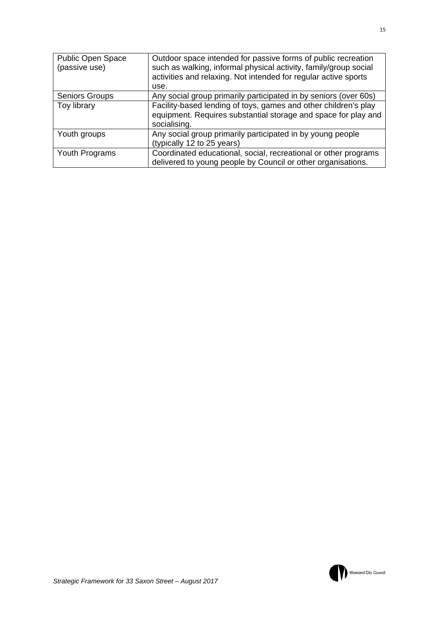| <b>Public Open Space</b><br>(passive use) | Outdoor space intended for passive forms of public recreation<br>such as walking, informal physical activity, family/group social |  |  |
|-------------------------------------------|-----------------------------------------------------------------------------------------------------------------------------------|--|--|
|                                           | activities and relaxing. Not intended for regular active sports                                                                   |  |  |
|                                           | use.                                                                                                                              |  |  |
| <b>Seniors Groups</b>                     | Any social group primarily participated in by seniors (over 60s)                                                                  |  |  |
| Toy library                               | Facility-based lending of toys, games and other children's play                                                                   |  |  |
|                                           | equipment. Requires substantial storage and space for play and                                                                    |  |  |
|                                           | socialising.                                                                                                                      |  |  |
| Youth groups                              | Any social group primarily participated in by young people                                                                        |  |  |
|                                           | (typically 12 to 25 years)                                                                                                        |  |  |
| Youth Programs                            | Coordinated educational, social, recreational or other programs                                                                   |  |  |
|                                           | delivered to young people by Council or other organisations.                                                                      |  |  |

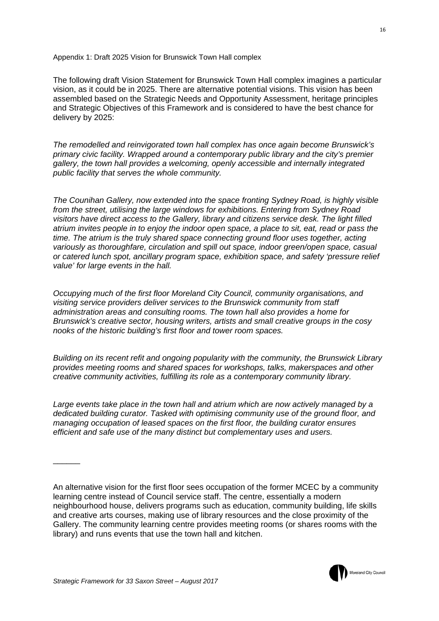Appendix 1: Draft 2025 Vision for Brunswick Town Hall complex

The following draft Vision Statement for Brunswick Town Hall complex imagines a particular vision, as it could be in 2025. There are alternative potential visions. This vision has been assembled based on the Strategic Needs and Opportunity Assessment, heritage principles and Strategic Objectives of this Framework and is considered to have the best chance for delivery by 2025:

*The remodelled and reinvigorated town hall complex has once again become Brunswick's primary civic facility. Wrapped around a contemporary public library and the city's premier gallery, the town hall provides a welcoming, openly accessible and internally integrated public facility that serves the whole community.* 

*The Counihan Gallery, now extended into the space fronting Sydney Road, is highly visible from the street, utilising the large windows for exhibitions. Entering from Sydney Road visitors have direct access to the Gallery, library and citizens service desk. The light filled atrium invites people in to enjoy the indoor open space, a place to sit, eat, read or pass the time. The atrium is the truly shared space connecting ground floor uses together, acting variously as thoroughfare, circulation and spill out space, indoor green/open space, casual or catered lunch spot, ancillary program space, exhibition space, and safety 'pressure relief value' for large events in the hall.* 

*Occupying much of the first floor Moreland City Council, community organisations, and visiting service providers deliver services to the Brunswick community from staff administration areas and consulting rooms. The town hall also provides a home for Brunswick's creative sector, housing writers, artists and small creative groups in the cosy nooks of the historic building's first floor and tower room spaces.* 

*Building on its recent refit and ongoing popularity with the community, the Brunswick Library provides meeting rooms and shared spaces for workshops, talks, makerspaces and other creative community activities, fulfilling its role as a contemporary community library.* 

*Large events take place in the town hall and atrium which are now actively managed by a dedicated building curator. Tasked with optimising community use of the ground floor, and managing occupation of leased spaces on the first floor, the building curator ensures efficient and safe use of the many distinct but complementary uses and users.* 

An alternative vision for the first floor sees occupation of the former MCEC by a community learning centre instead of Council service staff. The centre, essentially a modern neighbourhood house, delivers programs such as education, community building, life skills and creative arts courses, making use of library resources and the close proximity of the Gallery. The community learning centre provides meeting rooms (or shares rooms with the library) and runs events that use the town hall and kitchen.

 $\overline{\phantom{a}}$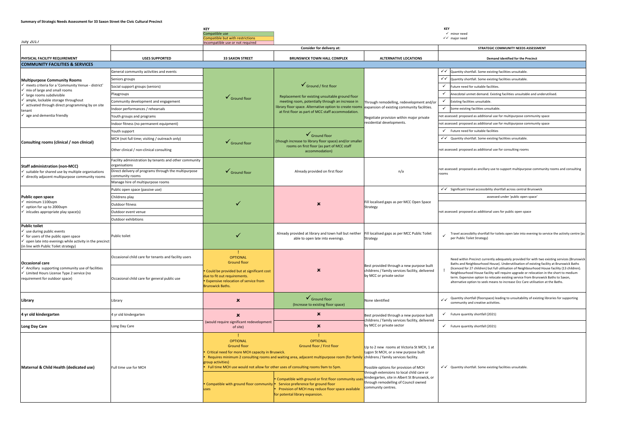#### **Summary of Strategic Needs Assessment for 33 Saxon Street the Civic Cultural Precinct**

|                                            |                                         | <b>KEY</b>                       |                                    |                              | KEY                                                                     |
|--------------------------------------------|-----------------------------------------|----------------------------------|------------------------------------|------------------------------|-------------------------------------------------------------------------|
|                                            |                                         | Compatible use                   |                                    |                              | $\checkmark$ minor need                                                 |
|                                            |                                         | Compatible but with restrictions |                                    |                              | $\checkmark$ major need                                                 |
| <b>July 2017</b>                           |                                         | Incompatible use or not required |                                    |                              |                                                                         |
|                                            |                                         |                                  | Consider for delivery at:          |                              | STRATEGIC COMMUNITY NEEDS ASSESSMENT                                    |
|                                            |                                         |                                  |                                    |                              |                                                                         |
| PHYSICAL FACILITY REQUIREMENT              | <b>USES SUPPORTED</b>                   | <b>33 SAXON STREET</b>           | <b>BRUNSWICK TOWN HALL COMPLEX</b> | <b>ALTERNATIVE LOCATIONS</b> | <b>Demand identfied for the Precinct</b>                                |
| <b>COMMUNITY FACILITIES &amp; SERVICES</b> |                                         |                                  |                                    |                              |                                                                         |
|                                            | General community activities and events |                                  |                                    |                              | $\checkmark$   Quantity shortfall. Some existing facilities unsuitable. |

| <b>COMMUNITY FACILITIES &amp; SERVICES</b>                                                                                                                                                                                       |                                                                         |                                                                                                                                                           |                                                                                                                                                                                                                                                                                                                                                                                      |                                                                                                                                                                                                                                                                                                                                  |                                                                                                                                                                                                                                                                                                                                                                  |
|----------------------------------------------------------------------------------------------------------------------------------------------------------------------------------------------------------------------------------|-------------------------------------------------------------------------|-----------------------------------------------------------------------------------------------------------------------------------------------------------|--------------------------------------------------------------------------------------------------------------------------------------------------------------------------------------------------------------------------------------------------------------------------------------------------------------------------------------------------------------------------------------|----------------------------------------------------------------------------------------------------------------------------------------------------------------------------------------------------------------------------------------------------------------------------------------------------------------------------------|------------------------------------------------------------------------------------------------------------------------------------------------------------------------------------------------------------------------------------------------------------------------------------------------------------------------------------------------------------------|
| <b>Multipurpose Community Rooms</b><br>← meets criteria for a 'Community Venue - district'<br>$\checkmark$ mix of large and small rooms                                                                                          | General community activities and events                                 |                                                                                                                                                           |                                                                                                                                                                                                                                                                                                                                                                                      |                                                                                                                                                                                                                                                                                                                                  | $\checkmark$ $\checkmark$   Quantity shortfall. Some existing facilities unsuitable.                                                                                                                                                                                                                                                                             |
|                                                                                                                                                                                                                                  | Seniors groups                                                          |                                                                                                                                                           | $\checkmark$ Ground / first floor<br>Replacement for existing unsuitable ground floor<br>meeting room, potentially through an increase in<br>library floor space. Alternative option to create room:<br>at first floor as part of MCC staff accommodation.                                                                                                                           |                                                                                                                                                                                                                                                                                                                                  | √ √ Quantity shortfall. Some existing facilities unsuitable.                                                                                                                                                                                                                                                                                                     |
|                                                                                                                                                                                                                                  | Social support groups (seniors)                                         |                                                                                                                                                           |                                                                                                                                                                                                                                                                                                                                                                                      |                                                                                                                                                                                                                                                                                                                                  | $\checkmark$ Future need for suitable facilities.                                                                                                                                                                                                                                                                                                                |
| $\checkmark$ large rooms subdivisible                                                                                                                                                                                            | Playgroups                                                              | $\checkmark$ Ground floor                                                                                                                                 |                                                                                                                                                                                                                                                                                                                                                                                      |                                                                                                                                                                                                                                                                                                                                  | $\checkmark$<br>Anecdotal unmet demand. Existing facilities unsuitable and underutilised.                                                                                                                                                                                                                                                                        |
| $\checkmark$ ample, lockable storage throughout                                                                                                                                                                                  | Community development and engagement                                    |                                                                                                                                                           |                                                                                                                                                                                                                                                                                                                                                                                      | Through remodelling, redevelopment and/or<br>expansion of existing community facilities.<br>Negotiate provision within major private<br>residential developments.                                                                                                                                                                | Existing facilities unsuitable.<br>$\checkmark$                                                                                                                                                                                                                                                                                                                  |
| $\checkmark$ activated through direct programming by on site<br>tenant                                                                                                                                                           | Indoor performances / rehearsals                                        |                                                                                                                                                           |                                                                                                                                                                                                                                                                                                                                                                                      |                                                                                                                                                                                                                                                                                                                                  | $\checkmark$ Some existing facilities unsuitable.                                                                                                                                                                                                                                                                                                                |
| $\checkmark$ age and dementia friendly                                                                                                                                                                                           | Youth groups and programs                                               |                                                                                                                                                           |                                                                                                                                                                                                                                                                                                                                                                                      |                                                                                                                                                                                                                                                                                                                                  | not assessed: proposed as additional use for multipurpose community space                                                                                                                                                                                                                                                                                        |
|                                                                                                                                                                                                                                  | Indoor fitness (no permanent equipment)                                 |                                                                                                                                                           |                                                                                                                                                                                                                                                                                                                                                                                      |                                                                                                                                                                                                                                                                                                                                  | not assessed: proposed as additional use for multipurpose community space                                                                                                                                                                                                                                                                                        |
|                                                                                                                                                                                                                                  | Youth support                                                           |                                                                                                                                                           | $\checkmark$ Ground floor                                                                                                                                                                                                                                                                                                                                                            |                                                                                                                                                                                                                                                                                                                                  | $\checkmark$ Future need for suitable facilities                                                                                                                                                                                                                                                                                                                 |
| Consulting rooms (clinical / non clinical)                                                                                                                                                                                       | MCH (not full time; visiting / outreach only)                           | $\checkmark$ Ground floor                                                                                                                                 | (though increase to library floor space) and/or smaller<br>rooms on first floor (as part of MCC staff<br>accommodation)                                                                                                                                                                                                                                                              |                                                                                                                                                                                                                                                                                                                                  | √ Quantity shortfall. Some existing facilities unsuitable.                                                                                                                                                                                                                                                                                                       |
|                                                                                                                                                                                                                                  | Other clinical / non-clinical consulting                                |                                                                                                                                                           |                                                                                                                                                                                                                                                                                                                                                                                      |                                                                                                                                                                                                                                                                                                                                  | not assessed: proposed as additional use for consulting rooms                                                                                                                                                                                                                                                                                                    |
| <b>Staff administration (non-MCC)</b>                                                                                                                                                                                            | Facility administration by tenants and other community<br>organisations |                                                                                                                                                           |                                                                                                                                                                                                                                                                                                                                                                                      |                                                                                                                                                                                                                                                                                                                                  |                                                                                                                                                                                                                                                                                                                                                                  |
| $\checkmark$ suitable for shared use by multiple organisations<br>$\checkmark$ directly adjacent multipurpose community rooms                                                                                                    | Direct delivery of programs through the multipurpose<br>community rooms | $\checkmark$ Ground floor                                                                                                                                 | Already provided on first floor                                                                                                                                                                                                                                                                                                                                                      | n/a                                                                                                                                                                                                                                                                                                                              | not assessed: proposed as ancillary use to support multipurpose community rooms and consulting<br>ooms                                                                                                                                                                                                                                                           |
|                                                                                                                                                                                                                                  | Manage hire of multipurpose rooms                                       |                                                                                                                                                           |                                                                                                                                                                                                                                                                                                                                                                                      |                                                                                                                                                                                                                                                                                                                                  |                                                                                                                                                                                                                                                                                                                                                                  |
|                                                                                                                                                                                                                                  | Public open space (passive use)                                         |                                                                                                                                                           |                                                                                                                                                                                                                                                                                                                                                                                      | Fill localised gaps as per MCC Open Space<br>Strategy                                                                                                                                                                                                                                                                            | √ Significant travel accessibility shortfall across central Brunswick                                                                                                                                                                                                                                                                                            |
| Public open space<br>$\checkmark$ minimum 1100sqm                                                                                                                                                                                | Childrens play                                                          |                                                                                                                                                           | $\boldsymbol{\mathsf{x}}$                                                                                                                                                                                                                                                                                                                                                            |                                                                                                                                                                                                                                                                                                                                  | assessed under 'public open space'                                                                                                                                                                                                                                                                                                                               |
| $\checkmark$ option for up to 2000sqm                                                                                                                                                                                            | Outdoor fitness                                                         |                                                                                                                                                           |                                                                                                                                                                                                                                                                                                                                                                                      |                                                                                                                                                                                                                                                                                                                                  |                                                                                                                                                                                                                                                                                                                                                                  |
| $\checkmark$ inlcudes appropriate play space(s)                                                                                                                                                                                  | Outdoor event venue                                                     |                                                                                                                                                           |                                                                                                                                                                                                                                                                                                                                                                                      |                                                                                                                                                                                                                                                                                                                                  | not assessed: proposed as additional uses for public open space                                                                                                                                                                                                                                                                                                  |
|                                                                                                                                                                                                                                  | Outdoor exhibitions                                                     |                                                                                                                                                           |                                                                                                                                                                                                                                                                                                                                                                                      |                                                                                                                                                                                                                                                                                                                                  |                                                                                                                                                                                                                                                                                                                                                                  |
| <b>Public toilet</b><br>$\checkmark$ use during public events<br>$\checkmark$ for users of the public open space<br>$\checkmark$ open late into evenings while activity in the precinct<br>(in line with Public Toilet strategy) | Public toilet                                                           |                                                                                                                                                           | Already provided at library and town hall but neither<br>able to open late into evenings.                                                                                                                                                                                                                                                                                            | Fill localised gaps as per MCC Public Toilet<br>Strategy                                                                                                                                                                                                                                                                         | Travel accessibilty shortfall for toilets open late into evening to service the activity centre (as<br>per Public Toilet Strategy)                                                                                                                                                                                                                               |
| Occasional care<br>$\checkmark$ Ancillary supporting community use of facilities<br>└ Limited Hours License Type 2 service (no<br>requirement for outdoor space)                                                                 | Occasional child care for tenants and facility users                    | <b>OPTIONAL</b><br><b>Ground floor</b>                                                                                                                    |                                                                                                                                                                                                                                                                                                                                                                                      | Best provided through a new purpose built                                                                                                                                                                                                                                                                                        | Need within Precinct currently adequately provided for with two existing services (Brunswic<br>Baths and Neighbourhood House). Underutilisation of existing facility at Brunswick Baths                                                                                                                                                                          |
|                                                                                                                                                                                                                                  | Occasional child care for general public use                            | Could be provided but at significant cost<br>due to fit out requirements.<br><b>Expensive relocation of service from</b><br><b>Brunswick Baths.</b>       | ×                                                                                                                                                                                                                                                                                                                                                                                    | childrens / family services facility, delivered<br>by MCC or private sector                                                                                                                                                                                                                                                      | (licenced for 27 children) but full utilisation of Neighbourhood House facility (13 children).<br>Neighbourhood House facility will require upgrade or relocation in the short to medium<br>term. Expensive option to relocate existing service from Brunswick Baths to Saxon,<br>alternative option to seek means to increase Occ Care utilisation at the Baths |
| Library                                                                                                                                                                                                                          | Library                                                                 | $\pmb{\times}$                                                                                                                                            | $\checkmark$ Ground floor<br>(Increase to existing floor space)                                                                                                                                                                                                                                                                                                                      | None identified                                                                                                                                                                                                                                                                                                                  | √ Quantity shortfall (floorspace) leading to unsuitability of existing libraries for supporting<br>community and creative activities.                                                                                                                                                                                                                            |
| 4 yr old kindergarten                                                                                                                                                                                                            | 4 yr old kindergarten                                                   | $\boldsymbol{\mathsf{x}}$                                                                                                                                 | $\boldsymbol{\mathsf{x}}$                                                                                                                                                                                                                                                                                                                                                            | Best provided through a new purpose built<br>childrens / family services facility, delivered                                                                                                                                                                                                                                     | $\checkmark$ Future quantity shortfall (2021)                                                                                                                                                                                                                                                                                                                    |
| Long Day Care                                                                                                                                                                                                                    | Long Day Care                                                           | (would require significant redevelopment<br>of site)                                                                                                      | ×                                                                                                                                                                                                                                                                                                                                                                                    | by MCC or private sector                                                                                                                                                                                                                                                                                                         | $\checkmark$ Future quantity shortfall (2021)                                                                                                                                                                                                                                                                                                                    |
| Maternal & Child Health (dedicated use)                                                                                                                                                                                          | Full time use for MCH                                                   | <b>OPTIONAL</b><br><b>Ground floor</b><br>Critical need for more MCH capacity in Bruswick.<br>group activities)<br>Compatible with ground floor community | <b>OPTIONAL</b><br>Ground floor / First floor<br>Requires minimum 2 consulting rooms and waiting area, adjacent multipurpose room (for family<br>Full time MCH use would not allow for other uses of consulting rooms 9am to 5pm.<br>Compatible with ground or first floor community use<br>Service preference for ground floor<br>Provision of MCH may reduce floor space available | Up to 2 new rooms at Victoria St MCH, 1 at<br>Lygon St MCH, or a new purpose built<br>childrens / family services facility.<br>Possible options for provision of MCH<br>through extensions to local child care or<br>kindergarten, site in Albert St Brunswick, or<br>through remodelling of Council owned<br>community centres. | $\checkmark$ Quantity shortfall. Some existing facilities unsuitable.                                                                                                                                                                                                                                                                                            |
|                                                                                                                                                                                                                                  |                                                                         | for potental library expansion.                                                                                                                           |                                                                                                                                                                                                                                                                                                                                                                                      |                                                                                                                                                                                                                                                                                                                                  |                                                                                                                                                                                                                                                                                                                                                                  |

|              | STRATEGIC COMMUNITY NEEDS ASSESSMENT                                                                                                                                                                                                                                                                                                                                                                                                                                                                                                                          |
|--------------|---------------------------------------------------------------------------------------------------------------------------------------------------------------------------------------------------------------------------------------------------------------------------------------------------------------------------------------------------------------------------------------------------------------------------------------------------------------------------------------------------------------------------------------------------------------|
|              | Demand identfied for the Precinct                                                                                                                                                                                                                                                                                                                                                                                                                                                                                                                             |
|              |                                                                                                                                                                                                                                                                                                                                                                                                                                                                                                                                                               |
| $\checkmark$ | Quantity shortfall. Some existing facilities unsuitable.                                                                                                                                                                                                                                                                                                                                                                                                                                                                                                      |
| $\checkmark$ | Quantity shortfall. Some existing facilities unsuitable.                                                                                                                                                                                                                                                                                                                                                                                                                                                                                                      |
| ✓            | Future need for suitable facilities.                                                                                                                                                                                                                                                                                                                                                                                                                                                                                                                          |
| ✓            | Anecdotal unmet demand. Existing facilities unsuitable and underutilised.                                                                                                                                                                                                                                                                                                                                                                                                                                                                                     |
| ✓            | Existing facilities unsuitable.                                                                                                                                                                                                                                                                                                                                                                                                                                                                                                                               |
| ✓            | Some existing facilities unsuitable.                                                                                                                                                                                                                                                                                                                                                                                                                                                                                                                          |
|              | t assessed: proposed as additional use for multipurpose community space                                                                                                                                                                                                                                                                                                                                                                                                                                                                                       |
|              | t assessed: proposed as additional use for multipurpose community space                                                                                                                                                                                                                                                                                                                                                                                                                                                                                       |
| ✓            | Future need for suitable facilities                                                                                                                                                                                                                                                                                                                                                                                                                                                                                                                           |
| $\checkmark$ | Quantity shortfall. Some existing facilities unsuitable.                                                                                                                                                                                                                                                                                                                                                                                                                                                                                                      |
|              | t assessed: proposed as additional use for consulting rooms                                                                                                                                                                                                                                                                                                                                                                                                                                                                                                   |
| oms          | t assessed: proposed as ancillary use to support multipurpose community rooms and consulting                                                                                                                                                                                                                                                                                                                                                                                                                                                                  |
| $\checkmark$ | Significant travel accessibility shortfall across central Brunswick                                                                                                                                                                                                                                                                                                                                                                                                                                                                                           |
|              | assessed under 'public open space'                                                                                                                                                                                                                                                                                                                                                                                                                                                                                                                            |
|              | t assessed: proposed as additional uses for public open space                                                                                                                                                                                                                                                                                                                                                                                                                                                                                                 |
|              | Travel accessibilty shortfall for toilets open late into evening to service the activity centre (as<br>per Public Toilet Strategy)                                                                                                                                                                                                                                                                                                                                                                                                                            |
| Ţ            | Need within Precinct currently adequately provided for with two existing services (Brunswick<br>Baths and Neighbourhood House). Underutilisation of existing facility at Brunswick Baths<br>(licenced for 27 children) but full utilisation of Neighbourhood House facility (13 children).<br>Neighbourhood House facility will require upgrade or relocation in the short to medium<br>term. Expensive option to relocate existing service from Brunswick Baths to Saxon,<br>alternative option to seek means to increase Occ Care utilisation at the Baths. |
| $\checkmark$ | Quantity shortfall (floorspace) leading to unsuitability of existing libraries for supporting<br>community and creative activities.                                                                                                                                                                                                                                                                                                                                                                                                                           |
| ✓            | Future quantity shortfall (2021)                                                                                                                                                                                                                                                                                                                                                                                                                                                                                                                              |
| ✓            | Future quantity shortfall (2021)                                                                                                                                                                                                                                                                                                                                                                                                                                                                                                                              |
| $\checkmark$ | Quantity shortfall. Some existing facilities unsuitable.                                                                                                                                                                                                                                                                                                                                                                                                                                                                                                      |